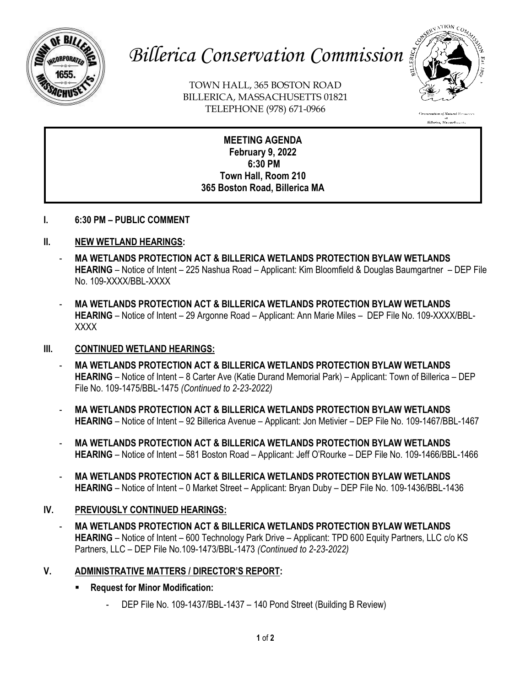

# *Billerica Conservation Commission*

TOWN HALL, 365 BOSTON ROAD BILLERICA, MASSACHUSETTS 01821 TELEPHONE (978) 671-0966



**MEETING AGENDA February 9, 2022 6:30 PM Town Hall, Room 210 365 Boston Road, Billerica MA**

- **I. 6:30 PM – PUBLIC COMMENT**
- **II. NEW WETLAND HEARINGS:**
	- **MA WETLANDS PROTECTION ACT & BILLERICA WETLANDS PROTECTION BYLAW WETLANDS HEARING** – Notice of Intent – 225 Nashua Road – Applicant: Kim Bloomfield & Douglas Baumgartner – DEP File No. 109-XXXX/BBL-XXXX
	- **MA WETLANDS PROTECTION ACT & BILLERICA WETLANDS PROTECTION BYLAW WETLANDS HEARING** – Notice of Intent – 29 Argonne Road – Applicant: Ann Marie Miles – DEP File No. 109-XXXX/BBL-XXXX

#### **III. CONTINUED WETLAND HEARINGS:**

- **MA WETLANDS PROTECTION ACT & BILLERICA WETLANDS PROTECTION BYLAW WETLANDS HEARING** – Notice of Intent – 8 Carter Ave (Katie Durand Memorial Park) – Applicant: Town of Billerica – DEP File No. 109-1475/BBL-1475 *(Continued to 2-23-2022)*
- **MA WETLANDS PROTECTION ACT & BILLERICA WETLANDS PROTECTION BYLAW WETLANDS HEARING** – Notice of Intent – 92 Billerica Avenue – Applicant: Jon Metivier – DEP File No. 109-1467/BBL-1467
- **MA WETLANDS PROTECTION ACT & BILLERICA WETLANDS PROTECTION BYLAW WETLANDS HEARING** – Notice of Intent – 581 Boston Road – Applicant: Jeff O'Rourke – DEP File No. 109-1466/BBL-1466
- **MA WETLANDS PROTECTION ACT & BILLERICA WETLANDS PROTECTION BYLAW WETLANDS HEARING** – Notice of Intent – 0 Market Street – Applicant: Bryan Duby – DEP File No. 109-1436/BBL-1436

### **IV. PREVIOUSLY CONTINUED HEARINGS:**

- **MA WETLANDS PROTECTION ACT & BILLERICA WETLANDS PROTECTION BYLAW WETLANDS HEARING** – Notice of Intent – 600 Technology Park Drive – Applicant: TPD 600 Equity Partners, LLC c/o KS Partners, LLC – DEP File No.109-1473/BBL-1473 *(Continued to 2-23-2022)*

### **V. ADMINISTRATIVE MATTERS / DIRECTOR'S REPORT:**

- **Request for Minor Modification:** 
	- DEP File No. 109-1437/BBL-1437 140 Pond Street (Building B Review)